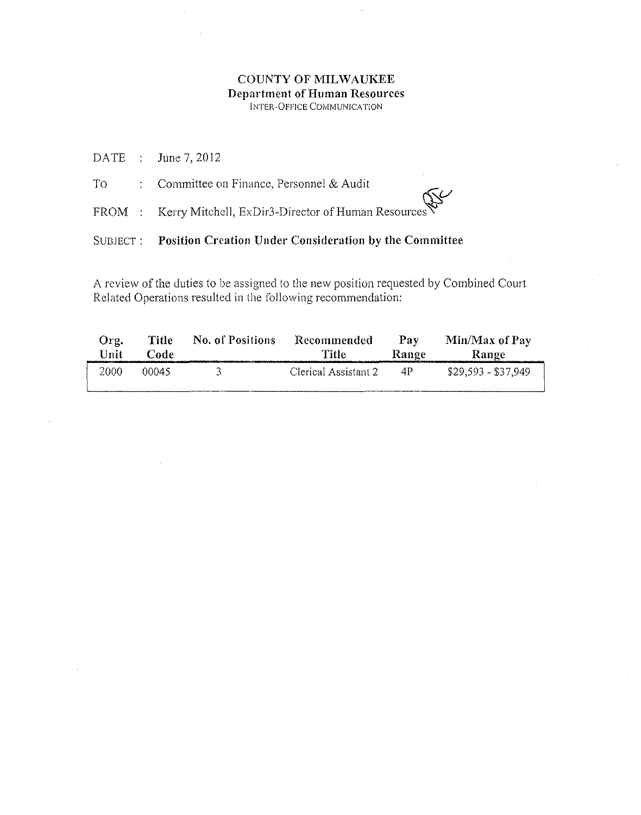|  | SUBJECT: Position Creation Under Consideration by the Committee |
|--|-----------------------------------------------------------------|
|  | FROM : Kerry Mitchell, ExDir3-Director of Human Resources       |
|  | To : Committee on Finance, Personnel & Audit                    |
|  | DATE : June 7, 2012                                             |

| Org.<br>Unit | <b>Title</b><br>Code | No. of Positions | Recommended<br>Title | Pay  | Min/Max of Pay<br>Range Range |
|--------------|----------------------|------------------|----------------------|------|-------------------------------|
| 2000         | 00045                | -34 -            | Clerical Assistant 2 | - 4P | \$29,593 - \$37,949           |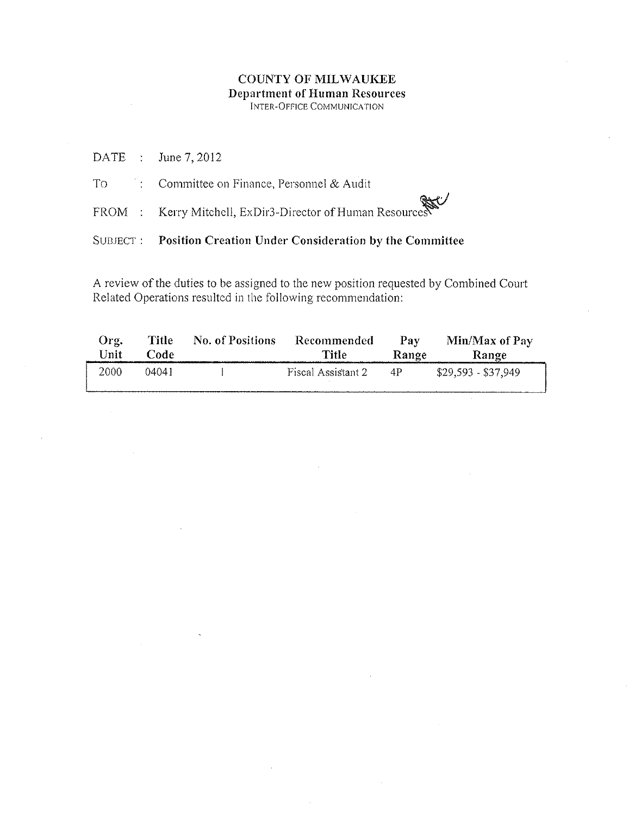|  | DATE : June 7, 2012                                              |
|--|------------------------------------------------------------------|
|  | To :: Committee on Finance, Personnel & Audit                    |
|  | FROM : Kerry Mitchell, ExDir3-Director of Human Resources        |
|  | SUBJECT : Position Creation Under Consideration by the Committee |

| $O12$ .<br>Unit | <b>Title</b><br>Code | No. of Positions | Recommended<br>Title: | Pay             | Min/Max of Pay<br>Range Range |
|-----------------|----------------------|------------------|-----------------------|-----------------|-------------------------------|
| 2000            | 04041                |                  | Fiscal Assistant 2    | $\overline{4P}$ | $$29,593 - $37,949$           |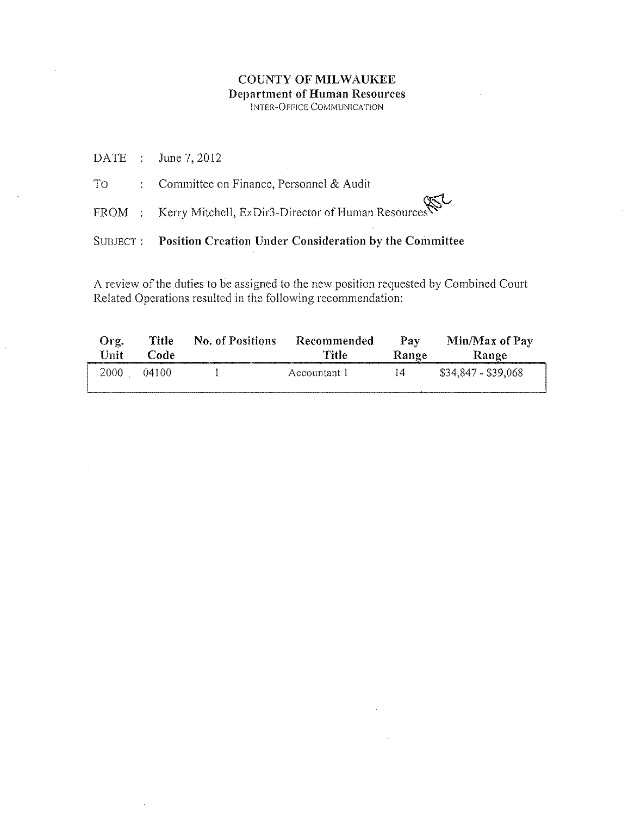|                                                                                                                                                                                                                                | SUBJECT: Position Creation Under Consideration by the Committee |
|--------------------------------------------------------------------------------------------------------------------------------------------------------------------------------------------------------------------------------|-----------------------------------------------------------------|
|                                                                                                                                                                                                                                | FROM : Kerry Mitchell, ExDir3-Director of Human Resources       |
| To the state of the state of the state of the state of the state of the state of the state of the state of the state of the state of the state of the state of the state of the state of the state of the state of the state o | : Committee on Finance, Personnel $&$ Audit                     |
|                                                                                                                                                                                                                                | DATE : June 7, 2012                                             |

| Org.       | Title | No. of Positions | Recommended  | Pay   | Min/Max of Pay      |
|------------|-------|------------------|--------------|-------|---------------------|
| Unit       | Code  |                  | Title        | Range | Range               |
| 2000 04100 |       |                  | Accountant 1 | -14   | \$34,847 - \$39,068 |